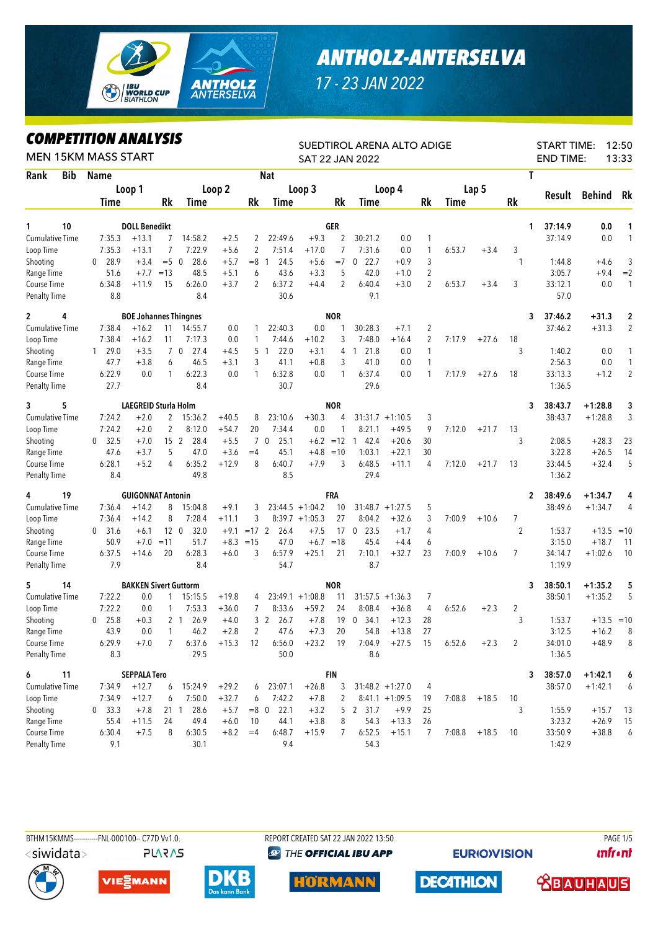

## *ANTHOLZ-ANTERSELVA*

*17 - 23 JAN 2022*

## *COMPETITION ANALYSIS*

| <b>MEN 15KM MASS START</b> |            | MPEIIIIVN ANALIƏIƏ           |                              |                 |                        |         | SUEDTIROL ARENA ALTO ADIGE<br><b>SAT 22 JAN 2022</b> |                        | 12:50<br><b>START TIME:</b><br><b>END TIME:</b><br>13:33 |                |                     |                    |                |        |                |                |         |              |                |
|----------------------------|------------|------------------------------|------------------------------|-----------------|------------------------|---------|------------------------------------------------------|------------------------|----------------------------------------------------------|----------------|---------------------|--------------------|----------------|--------|----------------|----------------|---------|--------------|----------------|
| Rank                       | <b>Bib</b> | <b>Name</b>                  |                              |                 |                        |         |                                                      | <b>Nat</b>             |                                                          |                |                     |                    |                |        |                | T              |         |              |                |
|                            |            |                              | Loop 1                       |                 |                        | Loop 2  |                                                      |                        | Loop 3                                                   |                |                     | Loop 4             |                |        | Lap 5          |                |         |              |                |
|                            |            | <b>Time</b>                  |                              | Rk              | Time                   |         | Rk                                                   | Time                   |                                                          | Rk             | Time                |                    | Rk             | Time   |                | <b>Rk</b>      | Result  | Behind       | Rk             |
|                            |            |                              |                              |                 |                        |         |                                                      |                        |                                                          |                |                     |                    |                |        |                |                |         |              |                |
| 1                          | 10         |                              | <b>DOLL Benedikt</b>         |                 |                        |         |                                                      |                        |                                                          | GER            |                     |                    |                |        |                | 1              | 37:14.9 | 0.0          | 1              |
| <b>Cumulative Time</b>     |            | 7:35.3                       | $+13.1$                      | 7               | 14:58.2                | $+2.5$  | 2                                                    | 22:49.6                | $+9.3$                                                   | 2              | 30:21.2             | 0.0                | 1              |        |                |                | 37:14.9 | 0.0          | 1              |
| Loop Time                  |            | 7:35.3                       | $+13.1$                      | $\overline{7}$  | 7:22.9                 | $+5.6$  | $\overline{2}$                                       | 7:51.4                 | $+17.0$                                                  | $\overline{7}$ | 7:31.6              | 0.0                | 1              | 6:53.7 | $+3.4$         | 3              |         |              |                |
| Shooting                   |            | 28.9<br>0                    | $+3.4$                       | $= 5 \ 0$       | 28.6                   | $+5.7$  | $=8$                                                 | 24.5<br>-1             | $+5.6$                                                   | $=7$           | 22.7<br>0           | $+0.9$             | 3              |        |                | $\mathbf{1}$   | 1:44.8  | $+4.6$       | 3              |
| Range Time                 |            | 51.6                         | $+7.7$                       | $=13$           | 48.5                   | $+5.1$  | 6                                                    | 43.6                   | $+3.3$                                                   | 5              | 42.0                | $+1.0$             | $\overline{2}$ |        |                |                | 3:05.7  | $+9.4$       | $=2$           |
| Course Time                |            | 6:34.8                       | $+11.9$                      | 15              | 6:26.0                 | $+3.7$  | 2                                                    | 6:37.2                 | $+4.4$                                                   | 2              | 6:40.4              | $+3.0$             | $\overline{2}$ | 6:53.7 | $+3.4$         | 3              | 33:12.1 | 0.0          | $\mathbf{1}$   |
| <b>Penalty Time</b>        |            | 8.8                          |                              |                 | 8.4                    |         |                                                      | 30.6                   |                                                          |                | 9.1                 |                    |                |        |                |                | 57.0    |              |                |
| $\overline{c}$<br>4        |            | <b>BOE Johannes Thingnes</b> |                              |                 |                        |         |                                                      |                        |                                                          | <b>NOR</b>     |                     |                    |                |        |                | 3              | 37:46.2 | $+31.3$      | 2              |
| <b>Cumulative Time</b>     |            | 7:38.4                       | $+16.2$                      | 11              | 14:55.7                | 0.0     | 1                                                    | 22:40.3                | 0.0                                                      | 1              | 30:28.3             | $+7.1$             | $\overline{2}$ |        |                |                | 37:46.2 | $+31.3$      | $\overline{2}$ |
| Loop Time                  |            | 7:38.4                       | $+16.2$                      | 11              | 7:17.3                 | 0.0     | 1                                                    | 7:44.6                 | $+10.2$                                                  | 3              | 7:48.0              | $+16.4$            | $\overline{2}$ | 7:17.9 | $+27.6$        | 18             |         |              |                |
| Shooting                   |            | 29.0<br>$\mathbf{1}$         | $+3.5$                       |                 | 27.4<br>7 0            | $+4.5$  | 5                                                    | 22.0<br>$\overline{1}$ | $+3.1$                                                   | 4              | 121.8               | 0.0                | 1              |        |                | 3              | 1:40.2  | 0.0          | 1              |
| Range Time                 |            | 47.7                         | $+3.8$                       | 6               | 46.5                   | $+3.1$  | 3                                                    | 41.1                   | $+0.8$                                                   | 3              | 41.0                | 0.0                | $\mathbf{1}$   |        |                |                | 2:56.3  | 0.0          | 1              |
| Course Time                |            | 6:22.9                       | 0.0                          | $\mathbf{1}$    | 6:22.3                 | 0.0     | 1                                                    | 6:32.8                 | 0.0                                                      | 1              | 6:37.4              | 0.0                | 1              | 7:17.9 | $+27.6$        | 18             | 33:13.3 | $+1.2$       | $\overline{2}$ |
| <b>Penalty Time</b>        |            | 27.7                         |                              |                 | 8.4                    |         |                                                      | 30.7                   |                                                          |                | 29.6                |                    |                |        |                |                | 1:36.5  |              |                |
| 5<br>3                     |            | <b>LAEGREID Sturla Holm</b>  |                              |                 |                        |         |                                                      |                        |                                                          | <b>NOR</b>     |                     |                    |                |        |                | 3              | 38:43.7 | $+1:28.8$    | 3              |
| <b>Cumulative Time</b>     |            | 7:24.2                       | $+2.0$                       | 2               | 15:36.2                | $+40.5$ | 8                                                    | 23:10.6                | $+30.3$                                                  | 4              |                     | $31:31.7 +1:10.5$  | 3              |        |                |                | 38:43.7 | $+1:28.8$    | 3              |
| Loop Time                  |            | 7:24.2                       | $+2.0$                       | $\overline{2}$  | 8:12.0                 | $+54.7$ | 20                                                   | 7:34.4                 | 0.0                                                      | 1              | 8:21.1              | $+49.5$            | 9              | 7:12.0 | $+21.7$        | 13             |         |              |                |
| Shooting                   |            | 32.5<br>$\bf{0}$             | $+7.0$                       | 15 <sub>2</sub> | 28.4                   | $+5.5$  |                                                      | 7 <sub>0</sub><br>25.1 |                                                          | $+6.2 = 12$    | $1 \quad 42.4$      | $+20.6$            | 30             |        |                | 3              | 2:08.5  | $+28.3$      | 23             |
| Range Time                 |            | 47.6                         | $+3.7$                       | 5               | 47.0                   | $+3.6$  | $=4$                                                 | 45.1                   | $+4.8$                                                   | $=10$          | 1:03.1              | $+22.1$            | 30             |        |                |                | 3:22.8  | $+26.5$      | 14             |
| Course Time                |            | 6:28.1                       | $+5.2$                       | 4               | 6:35.2                 | $+12.9$ | 8                                                    | 6:40.7                 | $+7.9$                                                   | 3              | 6:48.5              | $+11.1$            | 4              | 7:12.0 | $+21.7$        | 13             | 33:44.5 | $+32.4$      | 5              |
| <b>Penalty Time</b>        |            | 8.4                          |                              |                 | 49.8                   |         |                                                      | 8.5                    |                                                          |                | 29.4                |                    |                |        |                |                | 1:36.2  |              |                |
| 4                          | 19         |                              | <b>GUIGONNAT Antonin</b>     |                 |                        |         |                                                      |                        |                                                          | FRA            |                     |                    |                |        |                | 2              | 38:49.6 | $+1:34.7$    | 4              |
| <b>Cumulative Time</b>     |            | 7:36.4                       | $+14.2$                      | 8               | 15:04.8                | $+9.1$  | 3                                                    |                        | $23:44.5 + 1:04.2$                                       | 10             |                     | $31:48.7 + 1:27.5$ | 5              |        |                |                | 38:49.6 | $+1:34.7$    | 4              |
| Loop Time                  |            | 7:36.4                       | $+14.2$                      | 8               | 7:28.4                 | $+11.1$ | 3                                                    |                        | $8:39.7 +1:05.3$                                         | 27             | 8:04.2              | $+32.6$            | 3              | 7:00.9 | $+10.6$        | 7              |         |              |                |
| Shooting                   |            | 31.6<br>0                    | $+6.1$                       |                 | 32.0<br>12 0           | $+9.1$  | $=17$ 2                                              | 26.4                   | $+7.5$                                                   |                | 23.5<br>17 0        | $+1.7$             | 4              |        |                | $\overline{2}$ | 1:53.7  | $+13.5$      | $=10$          |
| Range Time                 |            | 50.9                         | $+7.0$                       | $=11$           | 51.7                   |         | $+8.3 = 15$                                          | 47.0                   |                                                          | $+6.7 = 18$    | 45.4                | $+4.4$             | 6              |        |                |                | 3:15.0  | $+18.7$      | -11            |
| Course Time                |            | 6:37.5                       | $+14.6$                      | 20              | 6:28.3                 | $+6.0$  | 3                                                    | 6:57.9                 | $+25.1$                                                  | 21             | 7:10.1              | $+32.7$            | 23             | 7:00.9 | $+10.6$        | $\overline{7}$ | 34:14.7 | $+1:02.6$    | 10             |
| <b>Penalty Time</b>        |            | 7.9                          |                              |                 | 8.4                    |         |                                                      | 54.7                   |                                                          |                | 8.7                 |                    |                |        |                |                | 1:19.9  |              |                |
| 5                          | 14         |                              | <b>BAKKEN Sivert Guttorm</b> |                 |                        |         |                                                      |                        |                                                          | <b>NOR</b>     |                     |                    |                |        |                | 3              | 38:50.1 | $+1:35.2$    | 5              |
| <b>Cumulative Time</b>     |            | 7:22.2                       | 0.0                          | 1               | 15:15.5                | $+19.8$ | 4                                                    |                        | $23:49.1 + 1:08.8$                                       | 11             |                     | $31:57.5 + 1:36.3$ | 7              |        |                |                | 38:50.1 | $+1:35.2$    | 5              |
| Loop Time                  |            | 7:22.2                       | 0.0                          | 1               | 7:53.3                 | $+36.0$ | 7                                                    | 8:33.6                 | $+59.2$                                                  | 24             | 8:08.4              | $+36.8$            | 4              | 6:52.6 | $+2.3$         | 2              |         |              |                |
| Shooting                   |            | 25.8<br>$\mathbf 0$          | $+0.3$                       |                 | 2 <sub>1</sub><br>26.9 | $+4.0$  |                                                      | 3 <sup>2</sup><br>26.7 | $+7.8$                                                   | 19             | $\mathbf 0$<br>34.1 | $+12.3$            | 28             |        |                | 3              | 1:53.7  | $+13.5 = 10$ |                |
| Range Time                 |            | 43.9                         | $0.0\,$                      | $\mathbf{1}$    | 46.2                   | $+2.8$  | $\mathbf{2}$                                         | 47.6                   | $+7.3$                                                   | 20             | 54.8                | $+13.8$            | 27             |        |                |                | 3:12.5  | $+16.2$      | 8              |
| Course Time                |            | 6:29.9                       | $+7.0$                       | $\overline{7}$  | 6:37.6                 | $+15.3$ | 12                                                   | 6:56.0                 | $+23.2$                                                  | 19             | 7:04.9              | $+27.5$            | 15             | 6:52.6 | $+2.3$         | $\overline{2}$ | 34:01.0 | $+48.9$      | 8              |
| Penalty Time               |            | 8.3                          |                              |                 | 29.5                   |         |                                                      | 50.0                   |                                                          |                | 8.6                 |                    |                |        |                |                | 1:36.5  |              |                |
| 6<br>11                    |            |                              | <b>SEPPALA Tero</b>          |                 |                        |         |                                                      |                        |                                                          | <b>FIN</b>     |                     |                    |                |        |                | 3              | 38:57.0 | $+1:42.1$    | 6              |
| <b>Cumulative Time</b>     |            | 7:34.9                       | $+12.7$                      | 6               | 15:24.9                | $+29.2$ | 6                                                    | 23:07.1                | $+26.8$                                                  | 3              |                     | $31:48.2 + 1:27.0$ | 4              |        |                |                | 38:57.0 | $+1:42.1$    | 6              |
| Loop Time                  |            | 7:34.9                       | $+12.7$                      | 6               | 7:50.0                 | $+32.7$ | 6                                                    | 7:42.2                 | $+7.8$                                                   | 2              |                     | $8:41.1 +1:09.5$   | 19             | 7:08.8 | $+18.5$        | 10             |         |              |                |
| Shooting                   |            | $0$ 33.3                     | $+7.8$                       |                 | 28.6<br>21 1           | $+5.7$  |                                                      | 22.1<br>$=8$ 0         | $+3.2$                                                   |                | 5 2 31.7            | $+9.9$             | 25             |        |                | 3              | 1:55.9  | $+15.7$      | 13             |
| Range Time                 |            | 55.4                         | $+11.5$                      | 24              | 49.4                   | $+6.0$  | 10                                                   | 44.1                   | $+3.8$                                                   | 8              | 54.3                | $+13.3$            | 26             |        |                |                | 3:23.2  | $+26.9$      | 15             |
| Course Time                |            | 6:30.4                       | $+7.5$                       | 8               | 6:30.5                 | $+8.2$  | $=4$                                                 | 6:48.7                 | $+15.9$                                                  | 7              | 6:52.5              | $+15.1$            | 7              |        | $7:08.8$ +18.5 | 10             | 33:50.9 | $+38.8$      | 6              |
| <b>Penalty Time</b>        |            | 9.1                          |                              |                 | 30.1                   |         |                                                      | 9.4                    |                                                          |                | 54.3                |                    |                |        |                |                | 1:42.9  |              |                |



**PLARAS** 

VIE<sub>E</sub>MANN

BTHM15KMMS------------FNL-000100-- C77D Vv1.0. REPORT CREATED SAT 22 JAN 2022 13:50 PAGE 1/5

**@ THE OFFICIAL IBU APP** 

HÖRMANN



**DECATHLON** 

**unfront** 





 **<u>CBAUHAUS</u>**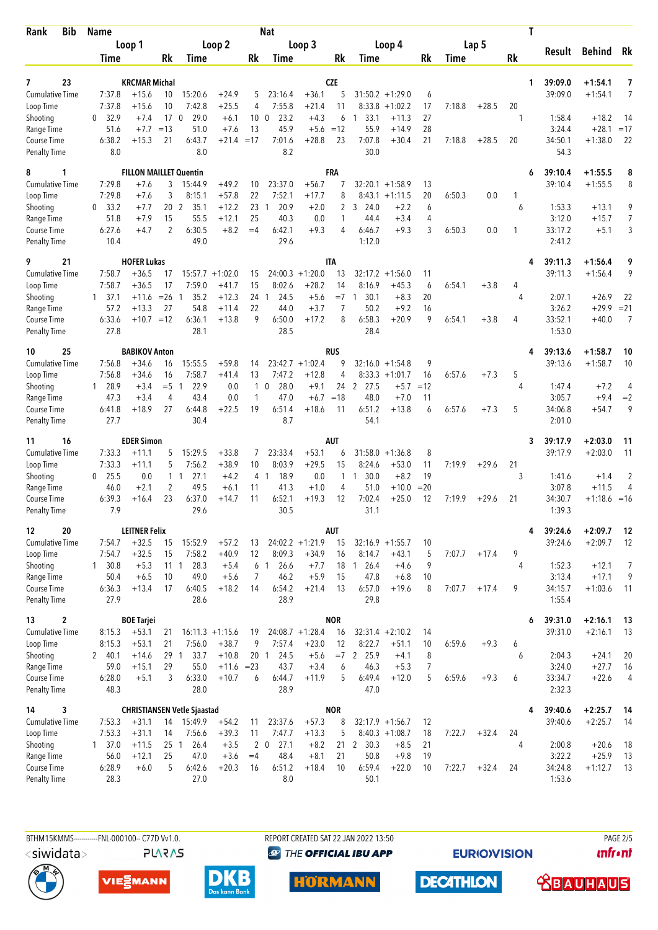| Bib<br>Rank                         | <b>Name</b>                    |                               |                       |                                    |                               |          | <b>Nat</b>                   |                              |                    |                              |                   |          | T      |         |         |                  |                    |                     |
|-------------------------------------|--------------------------------|-------------------------------|-----------------------|------------------------------------|-------------------------------|----------|------------------------------|------------------------------|--------------------|------------------------------|-------------------|----------|--------|---------|---------|------------------|--------------------|---------------------|
|                                     | Loop 1                         |                               | Loop 2                |                                    |                               |          | Loop 3                       |                              |                    |                              | Loop 4            | Lap 5    |        |         | Result  |                  | Behind<br>Rk       |                     |
|                                     | Time                           |                               | Rk                    | Time                               |                               | Rk       | Time                         |                              | Rk                 | Time                         |                   | Rk       | Time   |         | Rk      |                  |                    |                     |
| 23<br>7                             |                                | <b>KRCMAR Michal</b>          |                       |                                    |                               |          |                              |                              | <b>CZE</b>         |                              |                   |          |        |         | 1       | 39:09.0          | $+1:54.1$          | 7                   |
| <b>Cumulative Time</b>              | 7:37.8                         | $+15.6$                       | 10                    | 15:20.6                            | $+24.9$                       | 5        | 23:16.4                      | $+36.1$                      | 5                  | $31:50.2 + 1:29.0$           |                   | 6        |        |         |         | 39:09.0          | $+1:54.1$          | 7                   |
| Loop Time                           | 7:37.8                         | $+15.6$                       | 10                    | 7:42.8                             | $+25.5$                       | 4        | 7:55.8                       | $+21.4$                      | 11                 | 8:33.8                       | $+1:02.2$         | 17       | 7:18.8 | $+28.5$ | 20      |                  |                    |                     |
| Shooting                            | 32.9<br>0                      | $+7.4$                        | 17 <sub>0</sub>       | 29.0                               | $+6.1$                        | 10       | 23.2<br>$\mathbf{0}$         | $+4.3$                       | 6                  | 33.1<br>1                    | $+11.3$           | 27       |        |         | 1       | 1:58.4           | $+18.2$            | 14                  |
| Range Time                          | 51.6                           | $+7.7$                        | $=13$                 | 51.0                               | $+7.6$                        | 13       | 45.9                         | $+5.6$                       | $=12$              | 55.9                         | $+14.9$           | 28       |        |         |         | 3:24.4           | $+28.1$            | $=17$               |
| Course Time<br><b>Penalty Time</b>  | 6:38.2<br>8.0                  | $+15.3$                       | 21                    | 6:43.7<br>8.0                      | $+21.4$                       | $=17$    | 7:01.6<br>8.2                | $+28.8$                      | 23                 | 7:07.8<br>30.0               | $+30.4$           | 21       | 7:18.8 | $+28.5$ | 20      | 34:50.1<br>54.3  | $+1:38.0$          | 22                  |
| 8<br>1                              |                                | <b>FILLON MAILLET Quentin</b> |                       |                                    |                               |          |                              |                              | FRA                |                              |                   |          |        |         | 6       | 39:10.4          | $+1:55.5$          | 8                   |
| <b>Cumulative Time</b>              | 7:29.8                         | $+7.6$                        | 3                     | 15:44.9                            | $+49.2$                       | 10       | 23:37.0                      | $+56.7$                      | 7                  | $32:20.1 + 1:58.9$           |                   | 13       |        |         |         | 39:10.4          | $+1:55.5$          | 8                   |
| Loop Time                           | 7:29.8                         | $+7.6$                        | 3                     | 8:15.1                             | $+57.8$                       | 22       | 7:52.1                       | $+17.7$                      | 8                  |                              | $8:43.1 + 1:11.5$ | 20       | 6:50.3 | 0.0     |         |                  |                    |                     |
| Shooting<br>Range Time              | 33.2<br>$\mathbf{0}$<br>51.8   | $+7.7$<br>$+7.9$              | 20 <sub>2</sub><br>15 | 35.1<br>55.5                       | $+12.2$<br>$+12.1$            | 23<br>25 | 20.9<br>$\mathbf{1}$<br>40.3 | $+2.0$<br>0.0                | 2<br>1             | 3, 24.0<br>44.4              | $+2.2$<br>$+3.4$  | 6<br>4   |        |         | 6       | 1:53.3<br>3:12.0 | $+13.1$<br>$+15.7$ | 9<br>$\overline{7}$ |
| Course Time                         | 6:27.6                         | $+4.7$                        | 2                     | 6:30.5                             | $+8.2$                        | $=4$     | 6:42.1                       | $+9.3$                       | 4                  | 6:46.7                       | $+9.3$            | 3        | 6:50.3 | 0.0     | 1       | 33:17.2          | $+5.1$             | 3                   |
| <b>Penalty Time</b>                 | 10.4                           |                               |                       | 49.0                               |                               |          | 29.6                         |                              |                    | 1:12.0                       |                   |          |        |         |         | 2:41.2           |                    |                     |
| 21<br>9                             |                                | <b>HOFER Lukas</b>            |                       |                                    |                               |          |                              |                              | <b>ITA</b>         |                              |                   |          |        |         | 4       | 39:11.3          | $+1:56.4$          | 9                   |
| <b>Cumulative Time</b><br>Loop Time | 7:58.7<br>7:58.7               | $+36.5$<br>$+36.5$            | 17<br>17              | 7:59.0                             | $15:57.7 + 1:02.0$<br>$+41.7$ | 15<br>15 | 24:00.3<br>8:02.6            | $+1:20.0$<br>$+28.2$         | 13<br>14           | $32:17.2 + 1:56.0$<br>8:16.9 | $+45.3$           | 11<br>6  | 6:54.1 | $+3.8$  | 4       | 39:11.3          | $+1:56.4$          | 9                   |
| Shooting                            | 37.1<br>$\mathbf{1}$           | $+11.6$                       | $= 26$ 1              | 35.2                               | $+12.3$                       | 24 1     | 24.5                         | $+5.6$                       | $=7$               | 30.1<br>1                    | $+8.3$            | 20       |        |         | 4       | 2:07.1           | $+26.9$            | 22                  |
| Range Time                          | 57.2                           | $+13.3$                       | 27                    | 54.8                               | $+11.4$                       | 22       | 44.0                         | $+3.7$                       | 7                  | 50.2                         | $+9.2$            | 16       |        |         |         | 3:26.2           | $+29.9$            | $= 21$              |
| Course Time                         | 6:33.6                         | $+10.7 = 12$                  |                       | 6:36.1                             | $+13.8$                       | 9        | 6:50.0                       | $+17.2$                      | 8                  | 6:58.3                       | $+20.9$           | 9        | 6:54.1 | $+3.8$  | 4       | 33:52.1          | $+40.0$            | 7                   |
| <b>Penalty Time</b>                 | 27.8                           |                               |                       | 28.1                               |                               |          | 28.5                         |                              |                    | 28.4                         |                   |          |        |         |         | 1:53.0           |                    |                     |
| 25<br>10                            |                                | <b>BABIKOV Anton</b>          |                       |                                    |                               |          |                              |                              | <b>RUS</b>         |                              |                   |          |        |         | 4       | 39:13.6          | $+1:58.7$          | 10                  |
| <b>Cumulative Time</b><br>Loop Time | 7:56.8<br>7:56.8               | $+34.6$<br>$+34.6$            | 16<br>16              | 15:55.5<br>7:58.7                  | $+59.8$<br>$+41.4$            | 14<br>13 | 7:47.2                       | $23:42.7 +1:02.4$<br>$+12.8$ | 9<br>4             | $32:16.0 + 1:54.8$           | $8:33.3 +1:01.7$  | 9<br>16  | 6:57.6 | $+7.3$  | 5       | 39:13.6          | $+1:58.7$          | 10                  |
| Shooting                            | 28.9<br>1                      | $+3.4$                        | $= 5 \quad 1$         | 22.9                               | 0.0                           | 1        | 28.0<br>$\mathbf 0$          | $+9.1$                       | 24                 | 2 27.5                       | $+5.7$            | $=12$    |        |         | 4       | 1:47.4           | $+7.2$             | 4                   |
| Range Time                          | 47.3                           | $+3.4$                        | 4                     | 43.4                               | 0.0                           | 1        | 47.0                         | $+6.7$                       | $=18$              | 48.0                         | $+7.0$            | 11       |        |         |         | 3:05.7           | $+9.4$             | $=2$                |
| Course Time                         | 6:41.8                         | $+18.9$                       | 27                    | 6:44.8                             | $+22.5$                       | 19       | 6:51.4                       | $+18.6$                      | 11                 | 6:51.2                       | $+13.8$           | 6        | 6:57.6 | $+7.3$  | 5       | 34:06.8          | $+54.7$            | 9                   |
| <b>Penalty Time</b>                 | 27.7                           |                               |                       | 30.4                               |                               |          | 8.7                          |                              |                    | 54.1                         |                   |          |        |         |         | 2:01.0           |                    |                     |
| 16<br>11                            |                                | <b>EDER Simon</b>             |                       |                                    |                               |          |                              |                              | AUT                |                              |                   |          |        |         | 3       | 39:17.9          | $+2:03.0$          | 11                  |
| Cumulative Time                     | 7:33.3                         | $+11.1$                       | 5                     | 15:29.5                            | $+33.8$                       | 7        | 23:33.4                      | $+53.1$                      | 6                  | $31:58.0 + 1:36.8$           |                   | 8        |        |         |         | 39:17.9          | $+2:03.0$          | 11                  |
| Loop Time<br>Shooting               | 7:33.3<br>25.5<br>$\mathbf{0}$ | $+11.1$<br>0.0                | 5                     | 7:56.2<br>1 <sub>1</sub><br>27.1   | $+38.9$<br>$+4.2$             | 10<br>4  | 8:03.9<br>18.9<br>-1         | $+29.5$<br>0.0               | 15<br>$\mathbf{1}$ | 8:24.6<br>30.0<br>1          | $+53.0$<br>$+8.2$ | 11<br>19 | 7:19.9 | $+29.6$ | 21<br>3 | 1:41.6           | $+1.4$             | 2                   |
| Range Time                          | 46.0                           | $+2.1$                        | 2                     | 49.5                               | $+6.1$                        | 11       | 41.3                         | $+1.0$                       | 4                  | 51.0                         | $+10.0$           | $= 20$   |        |         |         | 3:07.8           | $+11.5$            | 4                   |
| Course Time                         | 6:39.3                         | $+16.4$                       | 23                    | 6:37.0                             | $+14.7$                       | 11       | 6:52.1                       | $+19.3$                      | 12                 | 7:02.4                       | $+25.0$           | 12       | 7:19.9 | $+29.6$ | 21      | 34:30.7          | $+1:18.6 = 16$     |                     |
| <b>Penalty Time</b>                 | 7.9                            |                               |                       | 29.6                               |                               |          | 30.5                         |                              |                    | 31.1                         |                   |          |        |         |         | 1:39.3           |                    |                     |
| 20<br>12                            |                                | <b>LEITNER Felix</b>          |                       |                                    |                               |          |                              |                              | <b>AUT</b>         |                              |                   |          |        |         | 4       | 39:24.6          | $+2:09.7$          | 12                  |
| <b>Cumulative Time</b><br>Loop Time | 7:54.7<br>7:54.7               | $+32.5$<br>$+32.5$            | 15<br>15              | 15:52.9<br>7:58.2                  | $+57.2$<br>$+40.9$            | 13<br>12 | 8:09.3                       | $24:02.2 +1:21.9$<br>$+34.9$ | 15<br>16           | $32:16.9 + 1:55.7$<br>8:14.7 | $+43.1$           | 10<br>5  | 7:07.7 | $+17.4$ | 9       | 39:24.6          | $+2:09.7$          | 12                  |
| Shooting                            | $1 \quad 30.8$                 | $+5.3$                        | 11 1                  | 28.3                               | $+5.4$                        |          | 6 1<br>26.6                  | $+7.7$                       | 18                 | 126.4                        | $+4.6$            | 9        |        |         | 4       | 1:52.3           | $+12.1$            | 7                   |
| Range Time                          | 50.4                           | $+6.5$                        | 10                    | 49.0                               | $+5.6$                        | 7        | 46.2                         | $+5.9$                       | 15                 | 47.8                         | $+6.8$            | 10       |        |         |         | 3:13.4           | $+17.1$            | 9                   |
| Course Time                         | 6:36.3                         | $+13.4$                       | 17                    | 6:40.5                             | $+18.2$                       | 14       | 6:54.2                       | $+21.4$                      | 13                 | 6:57.0                       | $+19.6$           | 8        | 7:07.7 | $+17.4$ | 9       | 34:15.7          | $+1:03.6$          | -11                 |
| <b>Penalty Time</b>                 | 27.9                           |                               |                       | 28.6                               |                               |          | 28.9                         |                              |                    | 29.8                         |                   |          |        |         |         | 1:55.4           |                    |                     |
| $\mathbf{2}$<br>13                  |                                | <b>BOE Tariei</b>             |                       |                                    |                               |          |                              |                              | <b>NOR</b>         |                              |                   |          |        |         | 6       | 39:31.0          | $+2:16.1$          | 13                  |
| <b>Cumulative Time</b><br>Loop Time | 8:15.3<br>8:15.3               | $+53.1$<br>$+53.1$            | 21<br>21              |                                    | $16:11.3 +1:15.6$<br>$+38.7$  | 19<br>9  | 7:57.4                       | $24:08.7 +1:28.4$<br>$+23.0$ | 16<br>12           | $32:31.4 +2:10.2$<br>8:22.7  | $+51.1$           | 14       | 6:59.6 | $+9.3$  |         | 39:31.0          | $+2:16.1$          | 13                  |
| Shooting                            | 2, 40.1                        | $+14.6$                       | 29 <sub>1</sub>       | 7:56.0<br>33.7                     | $+10.8$                       | 201      | 24.5                         | $+5.6$                       | $=7$               | $\overline{2}$<br>25.9       | $+4.1$            | 10<br>8  |        |         | 6<br>6  | 2:04.3           | $+24.1$            | 20                  |
| Range Time                          | 59.0                           | $+15.1$                       | 29                    | 55.0                               | $+11.6$                       | $= 23$   | 43.7                         | $+3.4$                       | 6                  | 46.3                         | $+5.3$            | 7        |        |         |         | 3:24.0           | $+27.7$            | 16                  |
| Course Time                         | 6:28.0                         | $+5.1$                        | 3                     | 6:33.0                             | $+10.7$                       | 6        | 6:44.7                       | $+11.9$                      | 5                  | 6:49.4                       | $+12.0$           | 5        | 6:59.6 | $+9.3$  | 6       | 33:34.7          | $+22.6$            | 4                   |
| <b>Penalty Time</b>                 | 48.3                           |                               |                       | 28.0                               |                               |          | 28.9                         |                              |                    | 47.0                         |                   |          |        |         |         | 2:32.3           |                    |                     |
| 3<br>14                             |                                |                               |                       | <b>CHRISTIANSEN Vetle Sjaastad</b> |                               |          |                              |                              | <b>NOR</b>         |                              |                   |          |        |         | 4       | 39:40.6          | $+2:25.7$          | 14                  |
| <b>Cumulative Time</b><br>Loop Time | 7:53.3<br>7:53.3               | $+31.1$<br>$+31.1$            | 14<br>14              | 15:49.9<br>7:56.6                  | $+54.2$<br>$+39.3$            | 11<br>11 | 23:37.6<br>7:47.7            | $+57.3$<br>$+13.3$           | 8<br>5             | $32:17.9 +1:56.7$            | $8:40.3 +1:08.7$  | 12<br>18 | 7:22.7 | $+32.4$ | 24      | 39:40.6          | $+2:25.7$          | 14                  |
| Shooting                            | 1, 37.0                        | $+11.5$                       | 25 <sub>1</sub>       | 26.4                               | $+3.5$                        |          | 27.1<br>2 <sub>0</sub>       | $+8.2$                       | 21                 | 2 30.3                       | $+8.5$            | 21       |        |         | 4       | 2:00.8           | $+20.6$            | 18                  |
| Range Time                          | 56.0                           | $+12.1$                       | 25                    | 47.0                               | $+3.6$                        | $=4$     | 48.4                         | $+8.1$                       | 21                 | 50.8                         | $+9.8$            | 19       |        |         |         | 3:22.2           | $+25.9$            | 13                  |
| Course Time                         | 6:28.9                         | $+6.0$                        | 5                     | 6:42.6                             | $+20.3$                       | 16       | 6:51.2                       | $+18.4$                      | 10                 | 6:59.4                       | $+22.0$           | 10       | 7:22.7 | $+32.4$ | 24      | 34:24.8          | $+1:12.7$          | 13                  |
| <b>Penalty Time</b>                 | 28.3                           |                               |                       | 27.0                               |                               |          | 8.0                          |                              |                    | 50.1                         |                   |          |        |         |         | 1:53.6           |                    |                     |

<siwidata>

**PLARAS** 

BTHM15KMMS-----------FNL-000100-- C77D Vv1.0. REPORT CREATED SAT 22 JAN 2022 13:50 PAGE 2/5 **<sup><sup>3</sup>** THE OFFICIAL IBU APP</sup>

**EURIOVISION** 

**unfront** 









**DECATHLON <u>CBAUHAUS</u>**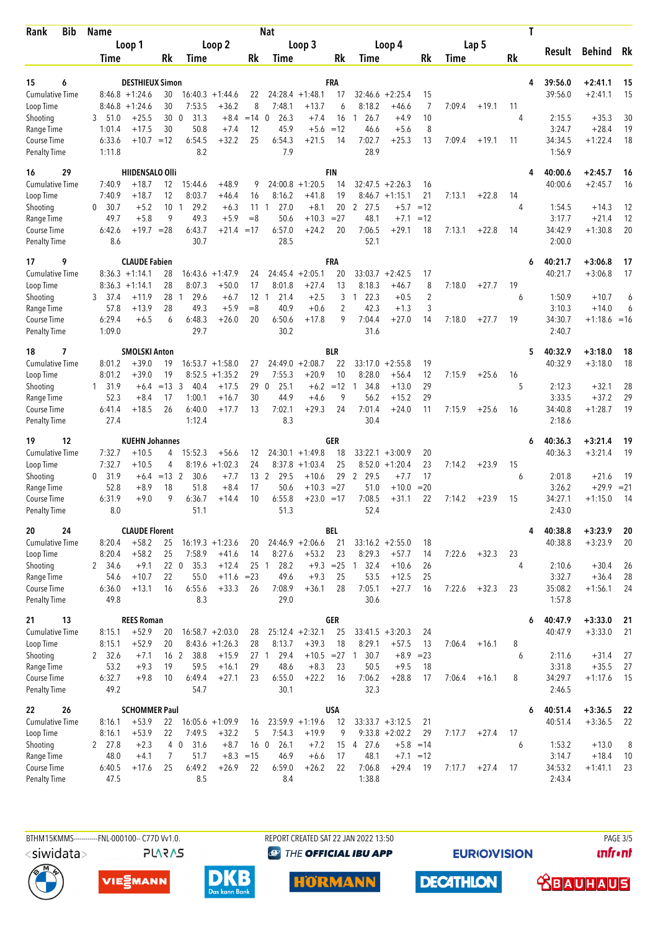| <b>Bib</b><br>Rank                        | <b>Name</b>       |                                      |                       |                      | <b>Nat</b>                  |                                | T                 |                               |                     |                                  |                      |                |        |         |         |        |                   |                    |               |
|-------------------------------------------|-------------------|--------------------------------------|-----------------------|----------------------|-----------------------------|--------------------------------|-------------------|-------------------------------|---------------------|----------------------------------|----------------------|----------------|--------|---------|---------|--------|-------------------|--------------------|---------------|
|                                           |                   | Loop 1                               | Loop 2                |                      |                             | Loop 3                         |                   |                               |                     | Loop 4                           |                      |                | Lap 5  |         |         | Result |                   | <b>Behind</b>      | Rk            |
|                                           | Time              |                                      | <b>Rk</b>             | Time                 |                             | Rk                             | Time              |                               | Rk                  | Time                             |                      | Rk             | Time   |         | Rk      |        |                   |                    |               |
| 15<br>6                                   |                   | <b>DESTHIEUX Simon</b>               |                       |                      |                             |                                |                   |                               | FRA                 |                                  |                      |                |        |         |         | 4      | 39:56.0           | $+2:41.1$          | 15            |
| <b>Cumulative Time</b>                    |                   | $8:46.8 + 1:24.6$                    | 30                    |                      | $16:40.3 + 1:44.6$          | 22                             |                   | $24:28.4 +1:48.1$             | 17                  |                                  | $32:46.6 + 2:25.4$   | 15             |        |         |         |        | 39:56.0           | $+2:41.1$          | 15            |
| Loop Time                                 |                   | $8:46.8 + 1:24.6$                    | 30                    | 7:53.5               | $+36.2$                     | 8                              | 7:48.1            | $+13.7$                       | 6                   | 8:18.2                           | $+46.6$              | 7              | 7:09.4 | $+19.1$ | 11      |        |                   |                    |               |
| Shooting                                  | 3<br>51.0         | $+25.5$                              | 30                    | 31.3<br>$\mathbf{0}$ | $+8.4$                      | $=14$ 0                        | 26.3              | $+7.4$                        | 16                  | 26.7<br>1                        | $+4.9$               | 10             |        |         | 4       |        | 2:15.5            | $+35.3$            | 30            |
| Range Time                                | 1:01.4            | $+17.5$                              | 30                    | 50.8                 | $+7.4$                      | 12                             | 45.9              | $+5.6$                        | $=12$               | 46.6                             | $+5.6$               | 8              |        |         |         |        | 3:24.7            | $+28.4$            | 19            |
| <b>Course Time</b><br><b>Penalty Time</b> | 6:33.6<br>1:11.8  | $+10.7$                              | $=12$                 | 6:54.5<br>8.2        | $+32.2$                     | 25                             | 6:54.3<br>7.9     | $+21.5$                       | 14                  | 7:02.7<br>28.9                   | $+25.3$              | 13             | 7:09.4 | $+19.1$ | 11      |        | 34:34.5<br>1:56.9 | $+1:22.4$          | 18            |
| 29<br>16                                  |                   | <b>HIIDENSALO OIII</b>               |                       |                      |                             |                                |                   |                               | <b>FIN</b>          |                                  |                      |                |        |         |         |        | 40:00.6           | $+2:45.7$          | 16            |
| <b>Cumulative Time</b>                    | 7:40.9            | $+18.7$                              | 12                    | 15:44.6              | $+48.9$                     | 9                              | 24:00.8           | $+1:20.5$                     | 14                  | 32:47.5                          | $+2:26.3$            | 16             |        |         |         |        | 40:00.6           | $+2:45.7$          | 16            |
| Loop Time                                 | 7:40.9<br>0       | $+18.7$                              | 12                    | 8:03.7               | $+46.4$                     | 16                             | 8:16.2            | $+41.8$                       | 19                  | 8:46.7                           | $+1:15.1$            | 21             | 7:13.1 | $+22.8$ | 14<br>4 |        |                   |                    |               |
| Shooting<br>Range Time                    | 30.7<br>49.7      | $+5.2$<br>$+5.8$                     | 10<br>9               | 29.2<br>-1<br>49.3   | $+6.3$<br>$+5.9$            | 11<br>$=8$                     | 27.0<br>1<br>50.6 | $+8.1$<br>$+10.3 = 27$        | 20                  | $\overline{2}$<br>27.5<br>48.1   | $+5.7$<br>$+7.1$     | $=12$<br>$=12$ |        |         |         |        | 1:54.5<br>3:17.7  | $+14.3$<br>$+21.4$ | 12<br>12      |
| Course Time                               | 6:42.6            | $+19.7 = 28$                         |                       | 6:43.7               | $+21.4$                     | $=17$                          | 6:57.0            | $+24.2$                       | 20                  | 7:06.5                           | $+29.1$              | 18             | 7:13.1 | $+22.8$ | 14      |        | 34:42.9           | $+1:30.8$          | 20            |
| <b>Penalty Time</b>                       | 8.6               |                                      |                       | 30.7                 |                             |                                | 28.5              |                               |                     | 52.1                             |                      |                |        |         |         |        | 2:00.0            |                    |               |
| 9<br>17                                   |                   | <b>CLAUDE Fabien</b>                 |                       |                      |                             |                                |                   |                               | FRA                 |                                  |                      |                |        |         |         | 6      | 40:21.7           | $+3:06.8$          | 17            |
| <b>Cumulative Time</b><br>Loop Time       |                   | $8:36.3 +1:14.1$<br>$8:36.3 +1:14.1$ | 28<br>28              | 16:43.6<br>8:07.3    | $+1:47.9$<br>$+50.0$        | 24<br>17                       | 8:01.8            | $24:45.4 + 2:05.1$<br>$+27.4$ | 20<br>13            | 33:03.7<br>8:18.3                | $+2:42.5$<br>$+46.7$ | 17<br>8        | 7:18.0 | $+27.7$ | 19      |        | 40:21.7           | $+3:06.8$          | 17            |
| Shooting                                  | 3<br>37.4         | +11.9                                | 28                    | 29.6<br>$\mathbf{1}$ | $+6.7$                      | 12                             | 21.4<br>-1        | $+2.5$                        | 3                   | 22.3<br>1                        | $+0.5$               | $\sqrt{2}$     |        |         | 6       |        | 1:50.9            | $+10.7$            | 6             |
| Range Time                                | 57.8              | $+13.9$                              | 28                    | 49.3                 | $+5.9$                      | $=8$                           | 40.9              | $+0.6$                        | $\overline{2}$      | 42.3                             | $+1.3$               | 3              |        |         |         |        | 3:10.3            | $+14.0$            | 6             |
| Course Time                               | 6:29.4            | $+6.5$                               | 6                     | 6:48.3               | $+26.0$                     | 20                             | 6:50.6            | $+17.8$                       | 9                   | 7:04.4                           | $+27.0$              | 14             | 7:18.0 | $+27.7$ | 19      |        | 34:30.7           | $+1:18.6 = 16$     |               |
| <b>Penalty Time</b>                       | 1:09.0            |                                      |                       | 29.7                 |                             |                                | 30.2              |                               |                     | 31.6                             |                      |                |        |         |         |        | 2:40.7            |                    |               |
| 7<br>18                                   |                   | <b>SMOLSKI Anton</b>                 |                       |                      |                             |                                |                   |                               | <b>BLR</b>          |                                  |                      |                |        |         |         | 5      | 40:32.9           | $+3:18.0$          | 18            |
| <b>Cumulative Time</b>                    | 8:01.2            | $+39.0$                              | 19                    |                      | $16:53.7 + 1:58.0$          | 27                             |                   | $24:49.0 + 2:08.7$            | 22                  | 33:17.0                          | $+2:55.8$            | 19             |        |         |         |        | 40:32.9           | $+3:18.0$          | 18            |
| Loop Time                                 | 8:01.2<br>1 31.9  | $+39.0$                              | 19<br>$=13$           | 8:52.5<br>3<br>40.4  | $+1:35.2$<br>$+17.5$        | 29<br>29 0                     | 7:55.3<br>25.1    | $+20.9$<br>$+6.2$             | 10<br>$=12$         | 8:28.0<br>34.8<br>-1             | $+56.4$<br>$+13.0$   | 12<br>29       | 7:15.9 | $+25.6$ | 16<br>5 |        | 2:12.3            | $+32.1$            | 28            |
| Shooting<br>Range Time                    | 52.3              | +6.4<br>$+8.4$                       | 17                    | 1:00.1               | $+16.7$                     | 30                             | 44.9              | $+4.6$                        | 9                   | 56.2                             | $+15.2$              | 29             |        |         |         |        | 3:33.5            | $+37.2$            | 29            |
| Course Time                               | 6:41.4            | $+18.5$                              | 26                    | 6:40.0               | $+17.7$                     | 13                             | 7:02.1            | $+29.3$                       | 24                  | 7:01.4                           | $+24.0$              | 11             | 7:15.9 | $+25.6$ | 16      |        | 34:40.8           | $+1:28.7$          | 19            |
| <b>Penalty Time</b>                       | 27.4              |                                      |                       | 1:12.4               |                             |                                | 8.3               |                               |                     | 30.4                             |                      |                |        |         |         |        | 2:18.6            |                    |               |
| 12<br>19                                  |                   | <b>KUEHN Johannes</b>                |                       |                      |                             |                                |                   |                               | GER                 |                                  |                      |                |        |         |         | 6      | 40:36.3           | $+3:21.4$          | 19            |
| Cumulative Time                           | 7:32.7            | $+10.5$                              | 4                     | 15:52.3              | $+56.6$                     | 12                             |                   | $24:30.1 + 1:49.8$            | 18                  | 33:22.1                          | $+3:00.9$            | 20             |        |         |         |        | 40:36.3           | $+3:21.4$          | 19            |
| Loop Time                                 | 7:32.7            | $+10.5$                              | 4                     | 8:19.6               | $+1:02.3$                   | 24                             | 8:37.8            | $+1:03.4$                     | 25                  |                                  | $8:52.0 +1:20.4$     | 23             | 7:14.2 | $+23.9$ | 15      |        |                   |                    |               |
| Shooting<br>Range Time                    | 31.9<br>0<br>52.8 | $+6.4$<br>$+8.9$                     | $=13$ 2<br>18         | 30.6<br>51.8         | $+7.7$<br>$+8.4$            | 13 <sup>2</sup><br>17          | 29.5<br>50.6      | $+10.6$<br>$+10.3 = 27$       | 29                  | 29.5<br>$\overline{2}$<br>51.0   | $+7.7$<br>$+10.0$    | 17<br>$= 20$   |        |         | 6       |        | 2:01.8<br>3:26.2  | $+21.6$<br>$+29.9$ | -19<br>$= 21$ |
| <b>Course Time</b>                        | 6:31.9            | $+9.0$                               | 9                     | 6:36.7               | $+14.4$                     | 10                             | 6:55.8            | $+23.0 = 17$                  |                     | 7:08.5                           | $+31.1$              | 22             | 7:14.2 | $+23.9$ | 15      |        | 34:27.1           | $+1:15.0$          | 14            |
| <b>Penalty Time</b>                       | 8.0               |                                      |                       | 51.1                 |                             |                                | 51.3              |                               |                     | 52.4                             |                      |                |        |         |         |        | 2:43.0            |                    |               |
| 24<br>20                                  |                   | <b>CLAUDE Florent</b>                |                       |                      |                             |                                |                   |                               | BEL                 |                                  |                      |                |        |         |         | 4      | 40:38.8           | $+3:23.9$          | 20            |
| Cumulative Time                           | 8:20.4            | $+58.2$                              | 25                    |                      | $16:19.3 + 1:23.6$          | 20                             |                   | $24:46.9 + 2:06.6$            | 21                  |                                  | $33:16.2 +2:55.0$    | 18             |        |         |         |        | 40:38.8           | $+3:23.9$          | 20            |
| Loop Time                                 | 8:20.4            | $+58.2$                              | 25                    | 7:58.9               | $+41.6$                     | 14                             | 8:27.6            | $+53.2$                       | 23                  | 8:29.3                           | $+57.7$              | 14             | 7:22.6 | $+32.3$ | 23<br>4 |        |                   |                    |               |
| Shooting<br>Range Time                    | 2 34.6<br>54.6    | $+9.1$<br>$+10.7$                    | 220<br>22             | 35.3<br>55.0         | $+12.4$<br>$+11.6 = 23$     | 25 <sub>1</sub>                | 28.2<br>49.6      | $+9.3$                        | $+9.3 = 25$ 1<br>25 | 32.4<br>53.5                     | $+10.6$<br>$+12.5$   | 26<br>25       |        |         |         |        | 2:10.6<br>3:32.7  | $+30.4$<br>$+36.4$ | 26<br>28      |
| Course Time                               | 6:36.0            | $+13.1$                              | 16                    | 6:55.6               | $+33.3$                     | 26                             | 7:08.9            | $+36.1$                       | 28                  | 7:05.1                           | $+27.7$              | 16             | 7:22.6 | $+32.3$ | 23      |        | 35:08.2           | $+1:56.1$          | 24            |
| <b>Penalty Time</b>                       | 49.8              |                                      |                       | 8.3                  |                             |                                | 29.0              |                               |                     | 30.6                             |                      |                |        |         |         |        | 1:57.8            |                    |               |
| 13<br>21                                  |                   | <b>REES Roman</b>                    |                       |                      |                             |                                |                   |                               | GER                 |                                  |                      |                |        |         |         | 6      | 40:47.9           | $+3:33.0$          | 21            |
| Cumulative Time                           | 8:15.1            | $+52.9$                              | 20                    |                      | $16:58.7 + 2:03.0$          | 28                             |                   | $25:12.4 +2:32.1$             | 25                  |                                  | $33:41.5 + 3:20.3$   | 24             |        |         |         |        | 40:47.9           | $+3:33.0$          | 21            |
| Loop Time<br>Shooting                     | 8:15.1<br>2 32.6  | $+52.9$<br>$+7.1$                    | 20<br>16 <sub>2</sub> | 38.8                 | $8:43.6 +1:26.3$<br>$+15.9$ | 28<br>27 1                     | 8:13.7<br>29.4    | $+39.3$<br>$+10.5 = 27$       | 18                  | 8:29.1<br>30.7<br>$\overline{1}$ | $+57.5$<br>$+8.9$    | 13<br>$= 23$   | 7:06.4 | $+16.1$ | 8<br>6  |        | 2:11.6            | $+31.4$            | 27            |
| Range Time                                | 53.2              | $+9.3$                               | 19                    | 59.5                 | $+16.1$                     | 29                             | 48.6              | $+8.3$                        | 23                  | 50.5                             | $+9.5$               | 18             |        |         |         |        | 3:31.8            | $+35.5$            | 27            |
| Course Time                               | 6:32.7            | $+9.8$                               | 10                    | 6:49.4               | $+27.1$                     | 23                             | 6:55.0            | $+22.2$                       | 16                  | 7:06.2                           | $+28.8$              | 17             | 7:06.4 | $+16.1$ | 8       |        | 34:29.7           | $+1:17.6$          | 15            |
| <b>Penalty Time</b>                       | 49.2              |                                      |                       | 54.7                 |                             |                                | 30.1              |                               |                     | 32.3                             |                      |                |        |         |         |        | 2:46.5            |                    |               |
| 26<br>22                                  |                   | <b>SCHOMMER Paul</b>                 |                       |                      |                             |                                |                   |                               | <b>USA</b>          |                                  |                      |                |        |         |         | 6      | 40:51.4           | $+3:36.5$          | 22            |
| <b>Cumulative Time</b>                    | 8:16.1            | $+53.9$                              | 22                    |                      | $16:05.6 + 1:09.9$          | 16                             |                   | $23:59.9 + 1:19.6$            | 12                  |                                  | $33:33.7 + 3:12.5$   | 21             |        |         |         |        | 40:51.4           | $+3:36.5$          | 22            |
| Loop Time                                 | 8:16.1            | $+53.9$                              | 22                    | 7:49.5               | $+32.2$                     | 5                              | 7:54.3            | $+19.9$                       | 9                   |                                  | $9:33.8 + 2:02.2$    | 29             | 7:17.7 | $+27.4$ | 17      |        |                   |                    |               |
| Shooting<br>Range Time                    | 2 27.8<br>48.0    | $+2.3$<br>$+4.1$                     | 7                     | 40<br>31.6<br>51.7   | $+8.7$                      | 16 <sub>0</sub><br>$+8.3 = 15$ | 26.1<br>46.9      | $+7.2$<br>$+6.6$              | 15<br>17            | 4 27.6<br>48.1                   | $+5.8$<br>$+7.1$     | $=14$<br>$=12$ |        |         | 6       |        | 1:53.2<br>3:14.7  | $+13.0$<br>$+18.4$ | 8<br>10       |
| Course Time                               | 6:40.5            | $+17.6$                              | 25                    | 6:49.2               | $+26.9$                     | 22                             | 6:59.0            | $+26.2$                       | 22                  | 7:06.8                           | $+29.4$              | 19             | 7:17.7 | $+27.4$ | 17      |        | 34:53.2           | $+1:41.1$          | 23            |
| <b>Penalty Time</b>                       | 47.5              |                                      |                       | 8.5                  |                             |                                | 8.4               |                               |                     | 1:38.8                           |                      |                |        |         |         |        | 2:43.4            |                    |               |
|                                           |                   |                                      |                       |                      |                             |                                |                   |                               |                     |                                  |                      |                |        |         |         |        |                   |                    |               |

<siwidata>

**PLARAS** 

BTHM15KMMS-----------FNL-000100-- C77D Vv1.0. REPORT CREATED SAT 22 JAN 2022 13:50 PAGE 3/5 **<sup><sup>3</sup>** THE OFFICIAL IBU APP</sup>

**EURIOVISION** 

**DECATHLON** 

**unfront** 









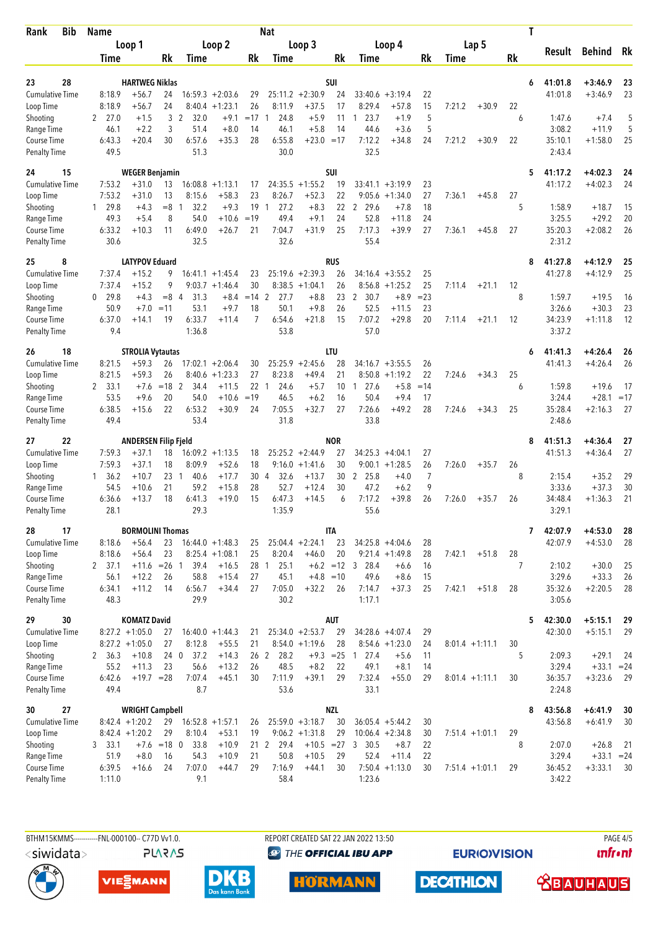| Bib<br>Rank                         |              | <b>Name</b><br>Loop 1 |                                       | <b>Nat</b> |                              |                                        |             |                          |                                        |             |                                         |                        |                | T                 |         |         |                   |                    |          |  |
|-------------------------------------|--------------|-----------------------|---------------------------------------|------------|------------------------------|----------------------------------------|-------------|--------------------------|----------------------------------------|-------------|-----------------------------------------|------------------------|----------------|-------------------|---------|---------|-------------------|--------------------|----------|--|
|                                     |              |                       |                                       | Loop 2     |                              |                                        |             | Loop 3                   |                                        |             |                                         | Loop 4                 |                | Lap 5             |         |         | Result            | <b>Behind</b>      | Rk       |  |
|                                     |              | Time                  |                                       | Rk         | Time                         |                                        | Rk          | Time                     |                                        | Rk          | Time                                    |                        | Rk             | Time              |         | Rk      |                   |                    |          |  |
| 28<br>23                            |              |                       | <b>HARTWEG Niklas</b>                 |            |                              |                                        |             |                          |                                        | <b>SUI</b>  |                                         |                        |                |                   |         | 6       | 41:01.8           | $+3:46.9$          | 23       |  |
| <b>Cumulative Time</b>              |              | 8:18.9                | $+56.7$                               | 24         |                              | $16:59.3 + 2:03.6$                     | 29          |                          | $25:11.2 + 2:30.9$                     | 24          | $33:40.6 + 3:19.4$                      |                        | 22             |                   |         |         | 41:01.8           | $+3:46.9$          | 23       |  |
| Loop Time                           |              | 8:18.9                | $+56.7$                               | 24         |                              | $8:40.4 +1:23.1$                       | 26          | 8:11.9                   | $+37.5$                                | 17          | 8:29.4                                  | $+57.8$                | 15             | 7:21.2            | $+30.9$ | 22      |                   |                    |          |  |
| Shooting                            | $\mathbf{2}$ | 27.0                  | $+1.5$                                | 3          | $\overline{2}$<br>32.0       | $+9.1$                                 | $=17$       | 24.8<br>$\overline{1}$   | $+5.9$                                 | 11          | 23.7<br>-1                              | $+1.9$                 | 5              |                   |         | 6       | 1:47.6            | $+7.4$             | 5        |  |
| Range Time                          |              | 46.1                  | $+2.2$                                | 3          | 51.4                         | $+8.0$                                 | 14          | 46.1                     | $+5.8$                                 | 14          | 44.6                                    | $+3.6$                 | 5              |                   |         |         | 3:08.2            | $+11.9$            | 5        |  |
| Course Time<br><b>Penalty Time</b>  |              | 6:43.3<br>49.5        | $+20.4$                               | 30         | 6:57.6<br>51.3               | $+35.3$                                | 28          | 6:55.8<br>30.0           | $+23.0 = 17$                           |             | 7:12.2<br>32.5                          | $+34.8$                | 24             | 7:21.2            | $+30.9$ | 22      | 35:10.1<br>2:43.4 | $+1:58.0$          | 25       |  |
| 15<br>24                            |              |                       | <b>WEGER Benjamin</b>                 |            |                              |                                        |             |                          |                                        | SUI         |                                         |                        |                |                   |         |         | 5<br>41:17.2      | $+4:02.3$          | 24       |  |
| <b>Cumulative Time</b>              |              | 7:53.2                | $+31.0$                               | 13         | 16:08.8                      | $+1:13.1$                              | 17          |                          | $24:35.5 +1:55.2$                      | 19          | $33:41.1 + 3:19.9$                      |                        | 23             |                   |         |         | 41:17.2           | $+4:02.3$          | 24       |  |
| Loop Time                           |              | 7:53.2                | +31.0                                 | 13<br>$=8$ | 8:15.6<br>1                  | $+58.3$                                | 23          | 8:26.7<br>$\overline{1}$ | $+52.3$                                | 22          |                                         | $9:05.6 + 1:34.0$      | 27             | 7:36.1            | $+45.8$ | 27<br>5 |                   |                    |          |  |
| Shooting<br>Range Time              |              | 1 29.8<br>49.3        | $+4.3$<br>$+5.4$                      | 8          | 32.2<br>54.0                 | $+9.3$<br>$+10.6$                      | 19<br>$=19$ | 27.2<br>49.4             | $+8.3$<br>$+9.1$                       | 22<br>24    | 2<br>29.6<br>52.8                       | $+7.8$<br>$+11.8$      | 18<br>24       |                   |         |         | 1:58.9<br>3:25.5  | $+18.7$<br>$+29.2$ | 15<br>20 |  |
| Course Time                         |              | 6:33.2                | $+10.3$                               | 11         | 6:49.0                       | $+26.7$                                | 21          | 7:04.7                   | $+31.9$                                | 25          | 7:17.3                                  | $+39.9$                | 27             | 7:36.1            | $+45.8$ | 27      | 35:20.3           | $+2:08.2$          | 26       |  |
| <b>Penalty Time</b>                 |              | 30.6                  |                                       |            | 32.5                         |                                        |             | 32.6                     |                                        |             | 55.4                                    |                        |                |                   |         |         | 2:31.2            |                    |          |  |
| 8<br>25                             |              |                       | <b>LATYPOV Eduard</b>                 |            |                              |                                        |             |                          |                                        | <b>RUS</b>  |                                         |                        |                |                   |         | 8       | 41:27.8           | $+4:12.9$          | 25       |  |
| <b>Cumulative Time</b><br>Loop Time |              | 7:37.4<br>7:37.4      | $+15.2$<br>$+15.2$                    | 9<br>9     |                              | $16:41.1 + 1:45.4$<br>$9:03.7 +1:46.4$ | 23<br>30    |                          | $25:19.6 + 2:39.3$<br>$8:38.5 +1:04.1$ | 26<br>26    | 34:16.4<br>8:56.8                       | $+3:55.2$<br>$+1:25.2$ | 25<br>25       | 7:11.4            | $+21.1$ | 12      | 41:27.8           | $+4:12.9$          | 25       |  |
| Shooting                            | 0            | 29.8                  | $+4.3$                                | $=8$ 4     | 31.3                         | $+8.4$                                 | $=14$       | $\overline{2}$<br>27.7   | $+8.8$                                 | 23          | 2<br>30.7                               | $+8.9$                 | $= 23$         |                   |         | 8       | 1:59.7            | $+19.5$            | 16       |  |
| Range Time                          |              | 50.9                  | $+7.0$                                | $=11$      | 53.1                         | $+9.7$                                 | 18          | 50.1                     | $+9.8$                                 | 26          | 52.5                                    | $+11.5$                | 23             |                   |         |         | 3:26.6            | $+30.3$            | 23       |  |
| Course Time                         |              | 6:37.0                | +14.1                                 | 19         | 6:33.7                       | $+11.4$                                | 7           | 6:54.6                   | $+21.8$                                | 15          | 7:07.2                                  | $+29.8$                | 20             | 7:11.4            | $+21.1$ | 12      | 34:23.9           | $+1:11.8$          | 12       |  |
| <b>Penalty Time</b>                 |              | 9.4                   |                                       |            | 1:36.8                       |                                        |             | 53.8                     |                                        |             | 57.0                                    |                        |                |                   |         |         | 3:37.2            |                    |          |  |
| 18<br>26                            |              |                       | <b>STROLIA Vytautas</b>               |            |                              |                                        |             |                          |                                        | LTU         |                                         |                        |                |                   |         | 6       | 41:41.3           | $+4:26.4$          | 26       |  |
| <b>Cumulative Time</b><br>Loop Time |              | 8:21.5<br>8:21.5      | $+59.3$<br>$+59.3$                    | 26<br>26   | 8:40.6                       | $17:02.1 + 2:06.4$<br>$+1:23.3$        | 30<br>27    | 8:23.8                   | $25:25.9 + 2:45.6$<br>$+49.4$          | 28<br>21    | $34:16.7 + 3:55.5$<br>8:50.8            | $+1:19.2$              | 26<br>22       |                   |         |         | 41:41.3           | $+4:26.4$          | 26       |  |
| Shooting                            |              | 2 33.1                | $+7.6$                                | $=18$ 2    | 34.4                         | $+11.5$                                | 22 1        | 24.6                     | $+5.7$                                 | 10          | 27.6<br>1                               | $+5.8$                 | $=14$          | 7:24.6            | $+34.3$ | 25<br>6 | 1:59.8            | $+19.6$            | 17       |  |
| Range Time                          |              | 53.5                  | $+9.6$                                | 20         | 54.0                         | $+10.6$                                | $=19$       | 46.5                     | $+6.2$                                 | 16          | 50.4                                    | $+9.4$                 | 17             |                   |         |         | 3:24.4            | $+28.1$            | $=17$    |  |
| Course Time                         |              | 6:38.5                | $+15.6$                               | 22         | 6:53.2                       | $+30.9$                                | 24          | 7:05.5                   | $+32.7$                                | 27          | 7:26.6                                  | $+49.2$                | 28             | 7:24.6            | $+34.3$ | 25      | 35:28.4           | $+2:16.3$          | 27       |  |
| <b>Penalty Time</b>                 |              | 49.4                  |                                       |            | 53.4                         |                                        |             | 31.8                     |                                        |             | 33.8                                    |                        |                |                   |         |         | 2:48.6            |                    |          |  |
| 22<br>27                            |              |                       | <b>ANDERSEN Filip Fjeld</b>           |            |                              |                                        |             |                          |                                        | <b>NOR</b>  |                                         |                        |                |                   |         | 8       | 41:51.3           | $+4:36.4$          | 27       |  |
| <b>Cumulative Time</b><br>Loop Time |              | 7:59.3<br>7:59.3      | $+37.1$<br>$+37.1$                    | 18<br>18   | 8:09.9                       | $16:09.2 +1:13.5$<br>$+52.6$           | 18<br>18    | 9:16.0                   | $25:25.2 +2:44.9$<br>$+1:41.6$         | 27<br>30    | $34:25.3 +4:04.1$                       | $9:00.1 + 1:28.5$      | 27<br>26       | 7:26.0            | $+35.7$ | 26      | 41:51.3           | $+4:36.4$          | 27       |  |
| Shooting                            |              | 1, 36.2               | $+10.7$                               | 23         | 40.6<br>$\overline{1}$       | $+17.7$                                | 30 4        | 32.6                     | $+13.7$                                | 30          | $\overline{2}$<br>25.8                  | $+4.0$                 | $\overline{7}$ |                   |         | 8       | 2:15.4            | $+35.2$            | 29       |  |
| Range Time                          |              | 54.5                  | $+10.6$                               | 21         | 59.2                         | $+15.8$                                | 28          | 52.7                     | $+12.4$                                | 30          | 47.2                                    | $+6.2$                 | 9              |                   |         |         | 3:33.6            | $+37.3$            | 30       |  |
| Course Time                         |              | 6:36.6                | $+13.7$                               | 18         | 6:41.3                       | $+19.0$                                | 15          | 6:47.3                   | $+14.5$                                | 6           | 7:17.2                                  | $+39.8$                | 26             | 7:26.0            | $+35.7$ | 26      | 34:48.4           | $+1:36.3$          | 21       |  |
| <b>Penalty Time</b>                 |              | 28.1                  |                                       |            | 29.3                         |                                        |             | 1:35.9                   |                                        |             | 55.6                                    |                        |                |                   |         |         | 3:29.1            |                    |          |  |
| 17<br>28                            |              |                       | <b>BORMOLINI Thomas</b>               |            |                              |                                        |             |                          |                                        | <b>ITA</b>  |                                         |                        |                |                   |         |         | 42:07.9<br>7      | $+4:53.0$          | 28       |  |
| <b>Cumulative Time</b><br>Loop Time |              | 8:18.6<br>8:18.6      | $+56.4$<br>$+56.4$                    | 23<br>23   |                              | $16:44.0 + 1:48.3$<br>$8:25.4 +1:08.1$ | 25<br>25    | 8:20.4                   | $25:04.4 +2:24.1$<br>$+46.0$           | 23<br>20    | $34:25.8 +4:04.6$                       | $9:21.4 +1:49.8$       | 28<br>28       | 7:42.1            | $+51.8$ | 28      | 42:07.9           | $+4:53.0$          | 28       |  |
| Shooting                            |              | 2 37.1                | $+11.6$ = 26 1                        |            | 39.4                         | $+16.5$                                |             | 25.1<br>28 1             |                                        |             | $+6.2 = 12$ 3 28.4                      | $+6.6$                 | 16             |                   |         | 7       | 2:10.2            | $+30.0$            | 25       |  |
| Range Time                          |              | 56.1                  | $+12.2$                               | 26         | 58.8                         | $+15.4$                                | 27          | 45.1                     | $+4.8 = 10$                            |             | 49.6                                    | $+8.6$                 | 15             |                   |         |         | 3:29.6            | $+33.3$            | 26       |  |
| Course Time                         |              | 6:34.1                | $+11.2$                               | 14         | 6:56.7                       | $+34.4$                                | 27          | 7:05.0                   | $+32.2$                                | 26          | 7:14.7                                  | $+37.3$                | 25             | 7:42.1            | $+51.8$ | 28      | 35:32.6           | $+2:20.5$          | 28       |  |
| <b>Penalty Time</b>                 |              | 48.3                  |                                       |            | 29.9                         |                                        |             | 30.2                     |                                        |             | 1:17.1                                  |                        |                |                   |         |         | 3:05.6            |                    |          |  |
| 30<br>29                            |              |                       | <b>KOMATZ David</b>                   |            |                              |                                        |             |                          |                                        | <b>AUT</b>  |                                         |                        |                |                   |         |         | 5<br>42:30.0      | $+5:15.1$          | 29       |  |
| Cumulative Time<br>Loop Time        |              |                       | $8:27.2 +1:05.0$<br>$8:27.2 +1:05.0$  | 27<br>27   | 8:12.8                       | $16:40.0 + 1:44.3$<br>$+55.5$          | 21<br>21    |                          | $25:34.0 + 2:53.7$<br>$8:54.0 +1:19.6$ | 29<br>28    | $34:28.6 + 4:07.4$                      | $8:54.6 + 1:23.0$      | 29<br>24       | $8:01.4 +1:11.1$  |         | 30      | 42:30.0           | $+5:15.1$          | 29       |  |
| Shooting                            |              | 2, 36.3               | $+10.8$                               | 24 0       | 37.2                         | $+14.3$                                |             | 26 <sub>2</sub><br>28.2  |                                        | $+9.3 = 25$ | 27.4<br>$\overline{1}$                  | $+5.6$                 | 11             |                   |         | 5       | 2:09.3            | $+29.1$            | 24       |  |
| Range Time                          |              | 55.2                  | $+11.3$                               | 23         | 56.6                         | $+13.2$                                | 26          | 48.5                     | $+8.2$                                 | 22          | 49.1                                    | $+8.1$                 | 14             |                   |         |         | 3:29.4            | $+33.1 = 24$       |          |  |
| Course Time                         |              | 6:42.6                | $+19.7 = 28$                          |            | 7:07.4                       | $+45.1$                                | 30          | 7:11.9                   | $+39.1$                                | 29          | 7:32.4                                  | $+55.0$                | 29             | $8:01.4 +1:11.1$  |         | 30      | 36:35.7           | $+3:23.6$          | -29      |  |
| <b>Penalty Time</b>                 |              | 49.4                  |                                       |            | 8.7                          |                                        |             | 53.6                     |                                        |             | 33.1                                    |                        |                |                   |         |         | 2:24.8            |                    |          |  |
| 27<br>30                            |              |                       | <b>WRIGHT Campbell</b>                |            |                              |                                        |             |                          |                                        | <b>NZL</b>  |                                         |                        |                |                   |         | 8       | 43:56.8           | $+6:41.9$          | 30       |  |
| <b>Cumulative Time</b><br>Loop Time |              |                       | $8:42.4 +1:20.2$<br>$8:42.4 + 1:20.2$ | 29<br>29   | $16:52.8 + 1:57.1$<br>8:10.4 | $+53.1$                                | 26<br>19    |                          | $25:59.0 + 3:18.7$<br>$9:06.2 +1:31.8$ | 30<br>29    | $36:05.4 + 5:44.2$<br>$10:06.4 +2:34.8$ |                        | 30<br>30       | $7:51.4 +1:01.1$  |         | 29      | 43:56.8           | $+6:41.9$          | 30       |  |
| Shooting                            |              | 3, 33.1               | $+7.6$                                | $=18$ 0    | 33.8                         | $+10.9$                                |             | 21 2 29.4                | $+10.5 = 27$                           |             | 3 30.5                                  | $+8.7$                 | 22             |                   |         | 8       | 2:07.0            | $+26.8$            | 21       |  |
| Range Time                          |              | 51.9                  | $+8.0$                                | 16         | 54.3                         | $+10.9$                                | 21          | 50.8                     | $+10.5$                                | 29          | 52.4                                    | $+11.4$                | 22             |                   |         |         | 3:29.4            | $+33.1 = 24$       |          |  |
| Course Time                         |              | 6:39.5                | $+16.6$                               | 24         | 7:07.0                       | $+44.7$                                | 29          | 7:16.9                   | $+44.1$                                | 30          |                                         | $7:50.4 +1:13.0$       | 30             | $7:51.4 + 1:01.1$ |         | 29      | 36:45.2           | $+3:33.1$          | 30       |  |
| <b>Penalty Time</b>                 |              | 1:11.0                |                                       |            | 9.1                          |                                        |             | 58.4                     |                                        |             | 1:23.6                                  |                        |                |                   |         |         | 3:42.2            |                    |          |  |

BTHM15KMMS------------FNL-000100-- C77D Vv1.0. <siwidata> **PLARAS**  REPORT CREATED SAT 22 JAN 2022 13:50 **<sup><sup>3</sup>** THE OFFICIAL IBU APP</sup>

**EURIOVISION** 

**DECATHLON** 

**PAGE 4/5 unfront** 









 **<u>CBAUHAUS</u>**